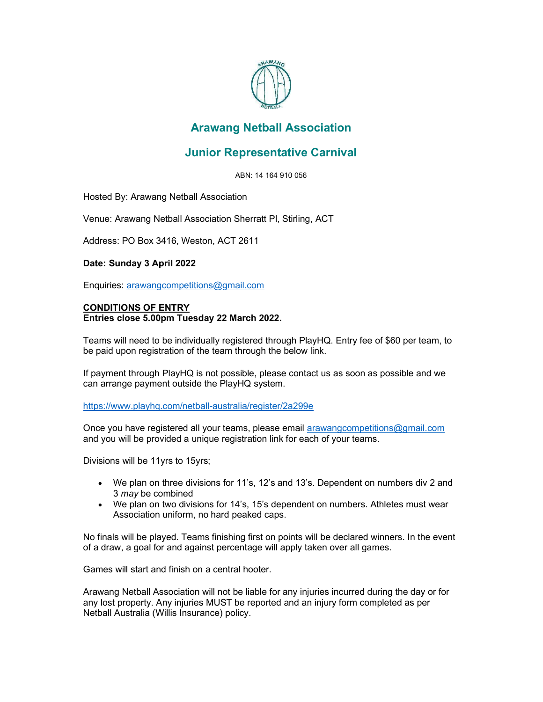

## Arawang Netball Association

## Junior Representative Carnival

ABN: 14 164 910 056

Hosted By: Arawang Netball Association

Venue: Arawang Netball Association Sherratt Pl, Stirling, ACT

Address: PO Box 3416, Weston, ACT 2611

## Date: Sunday 3 April 2022

Enquiries: arawangcompetitions@gmail.com

## CONDITIONS OF ENTRY Entries close 5.00pm Tuesday 22 March 2022.

Teams will need to be individually registered through PlayHQ. Entry fee of \$60 per team, to be paid upon registration of the team through the below link.

If payment through PlayHQ is not possible, please contact us as soon as possible and we can arrange payment outside the PlayHQ system.

https://www.playhq.com/netball-australia/register/2a299e

Once you have registered all your teams, please email arawangcompetitions@gmail.com and you will be provided a unique registration link for each of your teams.

Divisions will be 11yrs to 15yrs;

- We plan on three divisions for 11's, 12's and 13's. Dependent on numbers div 2 and 3 may be combined
- We plan on two divisions for 14's, 15's dependent on numbers. Athletes must wear Association uniform, no hard peaked caps.

No finals will be played. Teams finishing first on points will be declared winners. In the event of a draw, a goal for and against percentage will apply taken over all games.

Games will start and finish on a central hooter.

Arawang Netball Association will not be liable for any injuries incurred during the day or for any lost property. Any injuries MUST be reported and an injury form completed as per Netball Australia (Willis Insurance) policy.